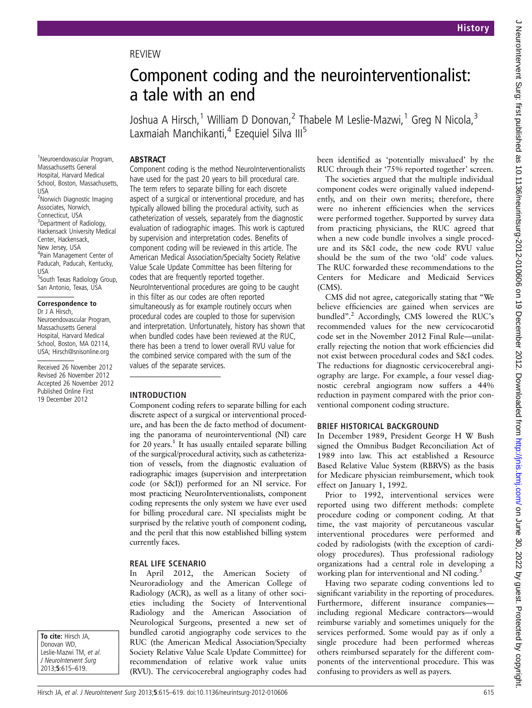## REVIEW

# Component coding and the neurointerventionalist: a tale with an end

Joshua A Hirsch,<sup>1</sup> William D Donovan,<sup>2</sup> Thabele M Leslie-Mazwi,<sup>1</sup> Greg N Nicola,<sup>3</sup> Laxmaiah Manchikanti,<sup>4</sup> Ezequiel Silva III<sup>5</sup>

## ABSTRACT

1 Neuroendovascular Program, Massachusetts General Hospital, Harvard Medical School, Boston, Massachusetts, USA <sup>2</sup>Norwich Diagnostic Imaging Associates, Norwich, Connecticut, USA <sup>3</sup> Department of Radiology, Hackensack University Medical Center, Hackensack, New Jersey, USA 4 Pain Management Center of Paducah, Paducah, Kentucky, USA 5 South Texas Radiology Group, San Antonio, Texas, USA

## Correspondence to

Dr J A Hirsch, Neuroendovascular Program, Massachusetts General Hospital, Harvard Medical School, Boston, MA 02114, USA; Hirsch@snisonline.org

Received 26 November 2012 Revised 26 November 2012 Accepted 26 November 2012 Published Online First 19 December 2012

Component coding is the method NeuroInterventionalists have used for the past 20 years to bill procedural care. The term refers to separate billing for each discrete aspect of a surgical or interventional procedure, and has typically allowed billing the procedural activity, such as catheterization of vessels, separately from the diagnostic evaluation of radiographic images. This work is captured by supervision and interpretation codes. Benefits of component coding will be reviewed in this article. The American Medical Association/Specialty Society Relative Value Scale Update Committee has been filtering for codes that are frequently reported together. NeuroInterventional procedures are going to be caught in this filter as our codes are often reported simultaneously as for example routinely occurs when procedural codes are coupled to those for supervision and interpretation. Unfortunately, history has shown that when bundled codes have been reviewed at the RUC, there has been a trend to lower overall RVU value for the combined service compared with the sum of the values of the separate services.

## INTRODUCTION

Component coding refers to separate billing for each discrete aspect of a surgical or interventional procedure, and has been the de facto method of documenting the panorama of neurointerventional (NI) care for 20 years.<sup>1</sup> It has usually entailed separate billing of the surgical/procedural activity, such as catheterization of vessels, from the diagnostic evaluation of radiographic images (supervision and interpretation code (or S&I)) performed for an NI service. For most practicing NeuroInterventionalists, component coding represents the only system we have ever used for billing procedural care. NI specialists might be surprised by the relative youth of component coding, and the peril that this now established billing system currently faces.

## REAL LIFE SCENARIO

In April 2012, the American Society of Neuroradiology and the American College of Radiology (ACR), as well as a litany of other societies including the Society of Interventional Radiology and the American Association of Neurological Surgeons, presented a new set of bundled carotid angiography code services to the RUC (the American Medical Association/Specialty Society Relative Value Scale Update Committee) for recommendation of relative work value units (RVU). The cervicocerebral angiography codes had

been identified as 'potentially misvalued' by the RUC through their '75% reported together' screen.

The societies argued that the multiple individual component codes were originally valued independently, and on their own merits; therefore, there were no inherent efficiencies when the services were performed together. Supported by survey data from practicing physicians, the RUC agreed that when a new code bundle involves a single procedure and its S&I code, the new code RVU value should be the sum of the two 'old' code values. The RUC forwarded these recommendations to the Centers for Medicare and Medicaid Services (CMS).

CMS did not agree, categorically stating that "We believe efficiencies are gained when services are bundled". <sup>2</sup> Accordingly, CMS lowered the RUC's recommended values for the new cervicocarotid code set in the November 2012 Final Rule—unilaterally rejecting the notion that work efficiencies did not exist between procedural codes and S&I codes. The reductions for diagnostic cervicocerebral angiography are large. For example, a four vessel diagnostic cerebral angiogram now suffers a 44% reduction in payment compared with the prior conventional component coding structure.

## BRIEF HISTORICAL BACKGROUND

In December 1989, President George H W Bush signed the Omnibus Budget Reconciliation Act of 1989 into law. This act established a Resource Based Relative Value System (RBRVS) as the basis for Medicare physician reimbursement, which took effect on January 1, 1992.

Prior to 1992, interventional services were reported using two different methods: complete procedure coding or component coding. At that time, the vast majority of percutaneous vascular interventional procedures were performed and coded by radiologists (with the exception of cardiology procedures). Thus professional radiology organizations had a central role in developing a working plan for interventional and NI coding.<sup>3</sup>

Having two separate coding conventions led to significant variability in the reporting of procedures. Furthermore, different insurance companies including regional Medicare contractors—would reimburse variably and sometimes uniquely for the services performed. Some would pay as if only a single procedure had been performed whereas others reimbursed separately for the different components of the interventional procedure. This was confusing to providers as well as payers.

To cite: Hirsch JA, Donovan WD, Leslie-Mazwi TM, et al. J NeuroIntervent Surg 2013;5:615–619.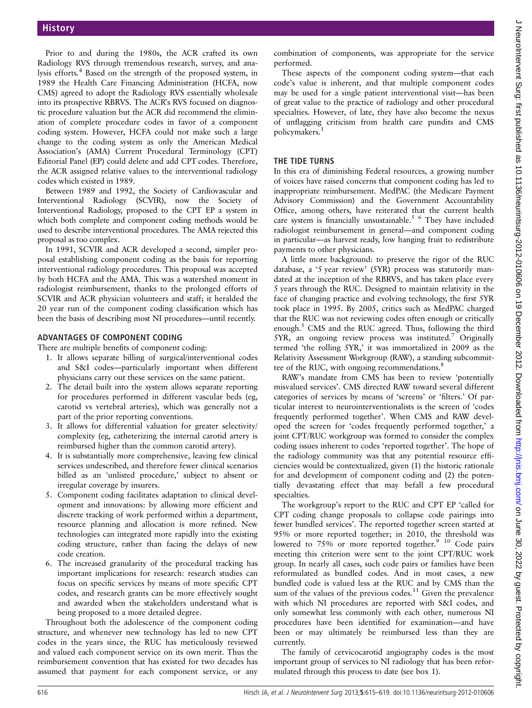Prior to and during the 1980s, the ACR crafted its own Radiology RVS through tremendous research, survey, and analysis efforts.<sup>4</sup> Based on the strength of the proposed system, in 1989 the Health Care Financing Administration (HCFA, now CMS) agreed to adopt the Radiology RVS essentially wholesale into its prospective RBRVS. The ACR's RVS focused on diagnostic procedure valuation but the ACR did recommend the elimination of complete procedure codes in favor of a component coding system. However, HCFA could not make such a large change to the coding system as only the American Medical Association's (AMA) Current Procedural Terminology (CPT) Editorial Panel (EP) could delete and add CPT codes. Therefore, the ACR assigned relative values to the interventional radiology codes which existed in 1989.

Between 1989 and 1992, the Society of Cardiovascular and Interventional Radiology (SCVIR), now the Society of Interventional Radiology, proposed to the CPT EP a system in which both complete and component coding methods would be used to describe interventional procedures. The AMA rejected this proposal as too complex.

In 1991, SCVIR and ACR developed a second, simpler proposal establishing component coding as the basis for reporting interventional radiology procedures. This proposal was accepted by both HCFA and the AMA. This was a watershed moment in radiologist reimbursement, thanks to the prolonged efforts of SCVIR and ACR physician volunteers and staff; it heralded the 20 year run of the component coding classification which has been the basis of describing most NI procedures—until recently.

## ADVANTAGES OF COMPONENT CODING

There are multiple benefits of component coding:

- 1. It allows separate billing of surgical/interventional codes and S&I codes—particularly important when different physicians carry out these services on the same patient.
- 2. The detail built into the system allows separate reporting for procedures performed in different vascular beds (eg, carotid vs vertebral arteries), which was generally not a part of the prior reporting conventions.
- 3. It allows for differential valuation for greater selectivity/ complexity (eg, catheterizing the internal carotid artery is reimbursed higher than the common carotid artery).
- 4. It is substantially more comprehensive, leaving few clinical services undescribed, and therefore fewer clinical scenarios billed as an 'unlisted procedure,' subject to absent or irregular coverage by insurers.
- 5. Component coding facilitates adaptation to clinical development and innovations: by allowing more efficient and discrete tracking of work performed within a department, resource planning and allocation is more refined. New technologies can integrated more rapidly into the existing coding structure, rather than facing the delays of new code creation.
- 6. The increased granularity of the procedural tracking has important implications for research: research studies can focus on specific services by means of more specific CPT codes, and research grants can be more effectively sought and awarded when the stakeholders understand what is being proposed to a more detailed degree.

Throughout both the adolescence of the component coding structure, and whenever new technology has led to new CPT codes in the years since, the RUC has meticulously reviewed and valued each component service on its own merit. Thus the reimbursement convention that has existed for two decades has assumed that payment for each component service, or any

combination of components, was appropriate for the service performed.

These aspects of the component coding system—that each code's value is inherent, and that multiple component codes may be used for a single patient interventional visit—has been of great value to the practice of radiology and other procedural specialties. However, of late, they have also become the nexus of unflagging criticism from health care pundits and CMS policymakers.

## THE TIDE TURNS

In this era of diminishing Federal resources, a growing number of voices have raised concerns that component coding has led to inappropriate reimbursement. MedPAC (the Medicare Payment Advisory Commission) and the Government Accountability Office, among others, have reiterated that the current health care system is financially unsustainable.<sup>5 6</sup> They have included radiologist reimbursement in general—and component coding in particular—as harvest ready, low hanging fruit to redistribute payments to other physicians.

A little more background: to preserve the rigor of the RUC database, a '5 year review' (5YR) process was statutorily mandated at the inception of the RBRVS, and has taken place every 5 years through the RUC. Designed to maintain relativity in the face of changing practice and evolving technology, the first 5YR took place in 1995. By 2005, critics such as MedPAC charged that the RUC was not reviewing codes often enough or critically enough. $<sup>5</sup>$  CMS and the RUC agreed. Thus, following the third</sup>  $5YR$ , an ongoing review process was instituted.<sup>7</sup> Originally termed 'the rolling 5YR,' it was immortalized in 2009 as the Relativity Assessment Workgroup (RAW), a standing subcommittee of the RUC, with ongoing recommendations.<sup>8</sup>

RAW's mandate from CMS has been to review 'potentially misvalued services'. CMS directed RAW toward several different categories of services by means of 'screens' or 'filters.' Of particular interest to neurointerventionalists is the screen of 'codes frequently performed together'. When CMS and RAW developed the screen for 'codes frequently performed together,' a joint CPT/RUC workgroup was formed to consider the complex coding issues inherent to codes 'reported together'. The hope of the radiology community was that any potential resource efficiencies would be contextualized, given (1) the historic rationale for and development of component coding and (2) the potentially devastating effect that may befall a few procedural specialties.

The workgroup's report to the RUC and CPT EP 'called for CPT coding change proposals to collapse code pairings into fewer bundled services'. The reported together screen started at 95% or more reported together; in 2010, the threshold was lowered to  $75\%$  or more reported together.<sup>9</sup> <sup>10</sup> Code pairs meeting this criterion were sent to the joint CPT/RUC work group. In nearly all cases, such code pairs or families have been reformulated as bundled codes. And in most cases, a new bundled code is valued less at the RUC and by CMS than the sum of the values of the previous codes.<sup>11</sup> Given the prevalence with which NI procedures are reported with S&I codes, and only somewhat less commonly with each other, numerous NI procedures have been identified for examination—and have been or may ultimately be reimbursed less than they are currently.

The family of cervicocarotid angiography codes is the most important group of services to NI radiology that has been reformulated through this process to date (see box 1).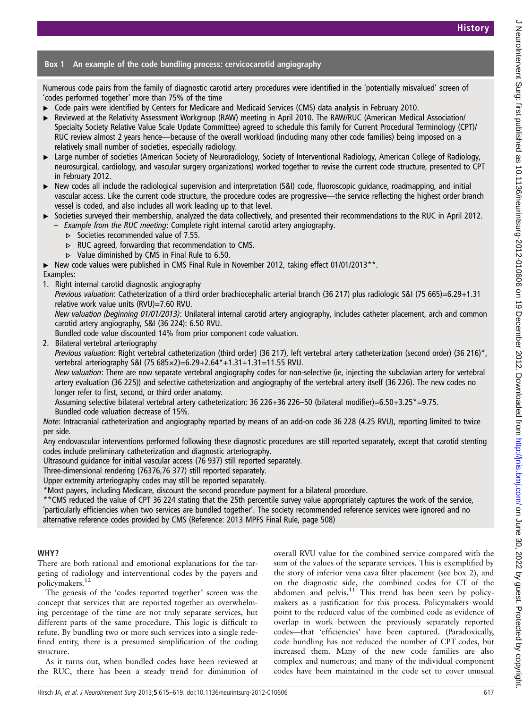## Box 1 An example of the code bundling process: cervicocarotid angiography

Numerous code pairs from the family of diagnostic carotid artery procedures were identified in the 'potentially misvalued' screen of 'codes performed together' more than 75% of the time

- ▸ Code pairs were identified by Centers for Medicare and Medicaid Services (CMS) data analysis in February 2010.
- ▸ Reviewed at the Relativity Assessment Workgroup (RAW) meeting in April 2010. The RAW/RUC (American Medical Association/ Specialty Society Relative Value Scale Update Committee) agreed to schedule this family for Current Procedural Terminology (CPT)/ RUC review almost 2 years hence—because of the overall workload (including many other code families) being imposed on a relatively small number of societies, especially radiology.
- ► Large number of societies (American Society of Neuroradiology, Society of Interventional Radiology, American College of Radiology, neurosurgical, cardiology, and vascular surgery organizations) worked together to revise the current code structure, presented to CPT in February 2012.
- ▶ New codes all include the radiological supervision and interpretation (S&I) code, fluoroscopic guidance, roadmapping, and initial vascular access. Like the current code structure, the procedure codes are progressive—the service reflecting the highest order branch vessel is coded, and also includes all work leading up to that level.
- ▸ Societies surveyed their membership, analyzed the data collectively, and presented their recommendations to the RUC in April 2012.
	- Example from the RUC meeting: Complete right internal carotid artery angiography.
		- $\triangleright$  Societies recommended value of 7.55.
		- $\triangleright$  RUC agreed, forwarding that recommendation to CMS.
		- $\triangleright$  Value diminished by CMS in Final Rule to 6.50.

▶ New code values were published in CMS Final Rule in November 2012, taking effect 01/01/2013<sup>\*\*</sup>.

Examples:

1. Right internal carotid diagnostic angiography

Previous valuation: Catheterization of a third order brachiocephalic arterial branch (36 217) plus radiologic S&I (75 665)=6.29+1.31 relative work value units (RVU)=7.60 RVU.

New valuation (beginning 01/01/2013): Unilateral internal carotid artery angiography, includes catheter placement, arch and common carotid artery angiography, S&I (36 224): 6.50 RVU.

Bundled code value discounted 14% from prior component code valuation.

2. Bilateral vertebral arteriography

Previous valuation: Right vertebral catheterization (third order) (36 217), left vertebral artery catheterization (second order) (36 216)\*, vertebral arteriography S&I (75 685×2)=6.29+2.64\*+1.31+1.31=11.55 RVU.

New valuation: There are now separate vertebral angiography codes for non-selective (ie, injecting the subclavian artery for vertebral artery evaluation (36 225)) and selective catheterization and angiography of the vertebral artery itself (36 226). The new codes no longer refer to first, second, or third order anatomy.

Assuming selective bilateral vertebral artery catheterization: 36 226+36 226-50 (bilateral modifier)=6.50+3.25\*=9.75. Bundled code valuation decrease of 15%.

Note: Intracranial catheterization and angiography reported by means of an add-on code 36 228 (4.25 RVU), reporting limited to twice per side.

Any endovascular interventions performed following these diagnostic procedures are still reported separately, except that carotid stenting codes include preliminary catheterization and diagnostic arteriography.

Ultrasound guidance for initial vascular access (76 937) still reported separately.

Three-dimensional rendering (76376,76 377) still reported separately.

Upper extremity arteriography codes may still be reported separately.

\*Most payers, including Medicare, discount the second procedure payment for a bilateral procedure.

\*\*CMS reduced the value of CPT 36 224 stating that the 25th percentile survey value appropriately captures the work of the service, 'particularly efficiencies when two services are bundled together'. The society recommended reference services were ignored and no alternative reference codes provided by CMS (Reference: 2013 MPFS Final Rule, page 508)

## WHY?

There are both rational and emotional explanations for the targeting of radiology and interventional codes by the payers and policymakers.<sup>12</sup>

The genesis of the 'codes reported together' screen was the concept that services that are reported together an overwhelming percentage of the time are not truly separate services, but different parts of the same procedure. This logic is difficult to refute. By bundling two or more such services into a single redefined entity, there is a presumed simplification of the coding structure.

As it turns out, when bundled codes have been reviewed at the RUC, there has been a steady trend for diminution of

overall RVU value for the combined service compared with the sum of the values of the separate services. This is exemplified by the story of inferior vena cava filter placement (see box 2), and on the diagnostic side, the combined codes for CT of the abdomen and pelvis. $11$  This trend has been seen by policymakers as a justification for this process. Policymakers would point to the reduced value of the combined code as evidence of overlap in work between the previously separately reported codes—that 'efficiencies' have been captured. (Paradoxically, code bundling has not reduced the number of CPT codes, but increased them. Many of the new code families are also complex and numerous; and many of the individual component codes have been maintained in the code set to cover unusual

J Neurolntervent Surg: first published as 10.1136/neurintsurg-2012-010606 on 19 December 2012. Downloaded from http://jnis.bmj.com/ on June 30, 2022 by guest. Protected by copyright J NeuroIntervent Surg: first published as 10.1136/neurintsurg-2012-010606 on 19 December 2012. Downloaded from John Arbishis. bmi.com/ on June 30, 2022 by guest. Protected by copyright.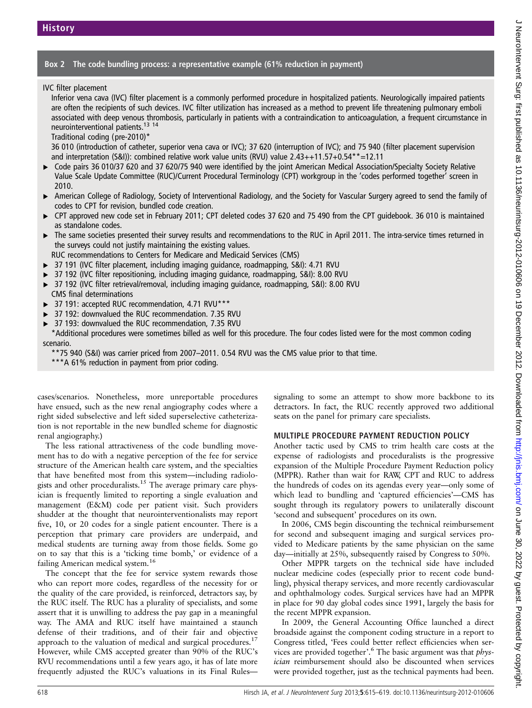Box 2 The code bundling process: a representative example (61% reduction in payment)

## IVC filter placement

Inferior vena cava (IVC) filter placement is a commonly performed procedure in hospitalized patients. Neurologically impaired patients are often the recipients of such devices. IVC filter utilization has increased as a method to prevent life threatening pulmonary emboli associated with deep venous thrombosis, particularly in patients with a contraindication to anticoagulation, a frequent circumstance in neurointerventional patients.13 14

Traditional coding (pre-2010)\*

36 010 (introduction of catheter, superior vena cava or IVC); 37 620 (interruption of IVC); and 75 940 (filter placement supervision and interpretation (S&I)): combined relative work value units (RVU) value  $2.43++11.57+0.54***=12.11$ 

- ▸ Code pairs 36 010/37 620 and 37 620/75 940 were identified by the joint American Medical Association/Specialty Society Relative Value Scale Update Committee (RUC)/Current Procedural Terminology (CPT) workgroup in the 'codes performed together' screen in 2010.
- ▶ American College of Radiology, Society of Interventional Radiology, and the Society for Vascular Surgery agreed to send the family of codes to CPT for revision, bundled code creation.
- ▸ CPT approved new code set in February 2011; CPT deleted codes 37 620 and 75 490 from the CPT guidebook. 36 010 is maintained as standalone codes.
- The same societies presented their survey results and recommendations to the RUC in April 2011. The intra-service times returned in the surveys could not justify maintaining the existing values.
- RUC recommendations to Centers for Medicare and Medicaid Services (CMS)
- ▸ 37 191 (IVC filter placement, including imaging guidance, roadmapping, S&I): 4.71 RVU
- ▸ 37 192 (IVC filter repositioning, including imaging guidance, roadmapping, S&I): 8.00 RVU
- ▶ 37 192 (IVC filter retrieval/removal, including imaging guidance, roadmapping, S&I): 8.00 RVU CMS final determinations
- ▶ 37 191: accepted RUC recommendation, 4.71 RVU \*\*\*
- ▸ 37 192: downvalued the RUC recommendation. 7.35 RVU
- ▸ 37 193: downvalued the RUC recommendation, 7.35 RVU

\*Additional procedures were sometimes billed as well for this procedure. The four codes listed were for the most common coding scenario.

\*\*75 940 (S&I) was carrier priced from 2007–2011. 0.54 RVU was the CMS value prior to that time.

\*\*\*A 61% reduction in payment from prior coding.

cases/scenarios. Nonetheless, more unreportable procedures have ensued, such as the new renal angiography codes where a right sided subselective and left sided superselective catheterization is not reportable in the new bundled scheme for diagnostic renal angiography.)

The less rational attractiveness of the code bundling movement has to do with a negative perception of the fee for service structure of the American health care system, and the specialties that have benefited most from this system—including radiologists and other proceduralists.<sup>15</sup> The average primary care physician is frequently limited to reporting a single evaluation and management (E&M) code per patient visit. Such providers shudder at the thought that neurointerventionalists may report five, 10, or 20 codes for a single patient encounter. There is a perception that primary care providers are underpaid, and medical students are turning away from those fields. Some go on to say that this is a 'ticking time bomb,' or evidence of a failing American medical system.<sup>16</sup>

The concept that the fee for service system rewards those who can report more codes, regardless of the necessity for or the quality of the care provided, is reinforced, detractors say, by the RUC itself. The RUC has a plurality of specialists, and some assert that it is unwilling to address the pay gap in a meaningful way. The AMA and RUC itself have maintained a staunch defense of their traditions, and of their fair and objective approach to the valuation of medical and surgical procedures.<sup>17</sup> However, while CMS accepted greater than 90% of the RUC's RVU recommendations until a few years ago, it has of late more frequently adjusted the RUC's valuations in its Final Rulessignaling to some an attempt to show more backbone to its detractors. In fact, the RUC recently approved two additional seats on the panel for primary care specialists.

## MULTIPLE PROCEDURE PAYMENT REDUCTION POLICY

Another tactic used by CMS to trim health care costs at the expense of radiologists and proceduralists is the progressive expansion of the Multiple Procedure Payment Reduction policy (MPPR). Rather than wait for RAW, CPT and RUC to address the hundreds of codes on its agendas every year—only some of which lead to bundling and 'captured efficiencies'—CMS has sought through its regulatory powers to unilaterally discount 'second and subsequent' procedures on its own.

In 2006, CMS begin discounting the technical reimbursement for second and subsequent imaging and surgical services provided to Medicare patients by the same physician on the same day—initially at 25%, subsequently raised by Congress to 50%.

Other MPPR targets on the technical side have included nuclear medicine codes (especially prior to recent code bundling), physical therapy services, and more recently cardiovascular and ophthalmology codes. Surgical services have had an MPPR in place for 90 day global codes since 1991, largely the basis for the recent MPPR expansion.

In 2009, the General Accounting Office launched a direct broadside against the component coding structure in a report to Congress titled, 'Fees could better reflect efficiencies when services are provided together'.<sup>6</sup> The basic argument was that *phys*ician reimbursement should also be discounted when services were provided together, just as the technical payments had been.